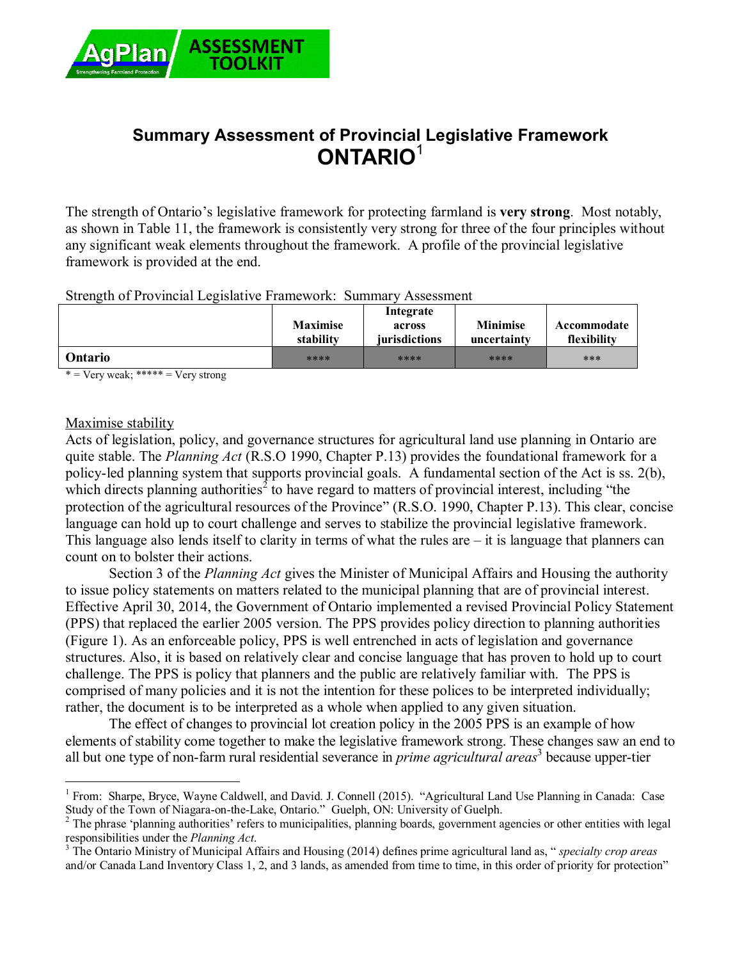

# **Summary Assessment of Provincial Legislative Framework ONTARIO**<sup>1</sup>

The strength of Ontario's legislative framework for protecting farmland is **very strong**. Most notably, as shown in Table 11, the framework is consistently very strong for three of the four principles without any significant weak elements throughout the framework. A profile of the provincial legislative framework is provided at the end.

Strength of Provincial Legislative Framework: Summary Assessment

|                | <b>Maximise</b><br>stability | Integrate<br>across<br><i>iurisdictions</i> | <b>Minimise</b><br>uncertainty | Accommodate<br>flexibility |
|----------------|------------------------------|---------------------------------------------|--------------------------------|----------------------------|
| <b>Ontario</b> | ****                         | ****                                        | ****                           | ***                        |

 $* = \text{Verv weak};$  \*\*\*\*\* =  $\text{Verv strong}$ 

#### Maximise stability

 $\overline{a}$ 

Acts of legislation, policy, and governance structures for agricultural land use planning in Ontario are quite stable. The *Planning Act* (R.S.O 1990, Chapter P.13) provides the foundational framework for a policy-led planning system that supports provincial goals. A fundamental section of the Act is ss. 2(b), which directs planning authorities<sup>2</sup> to have regard to matters of provincial interest, including "the protection of the agricultural resources of the Province" (R.S.O. 1990, Chapter P.13). This clear, concise language can hold up to court challenge and serves to stabilize the provincial legislative framework. This language also lends itself to clarity in terms of what the rules are – it is language that planners can count on to bolster their actions.

Section 3 of the *Planning Act* gives the Minister of Municipal Affairs and Housing the authority to issue policy statements on matters related to the municipal planning that are of provincial interest. Effective April 30, 2014, the Government of Ontario implemented a revised Provincial Policy Statement (PPS) that replaced the earlier 2005 version. The PPS provides policy direction to planning authorities (Figure 1). As an enforceable policy, PPS is well entrenched in acts of legislation and governance structures. Also, it is based on relatively clear and concise language that has proven to hold up to court challenge. The PPS is policy that planners and the public are relatively familiar with. The PPS is comprised of many policies and it is not the intention for these polices to be interpreted individually; rather, the document is to be interpreted as a whole when applied to any given situation.

The effect of changes to provincial lot creation policy in the 2005 PPS is an example of how elements of stability come together to make the legislative framework strong. These changes saw an end to all but one type of non-farm rural residential severance in *prime agricultural areas*<sup>3</sup> because upper-tier

<sup>&</sup>lt;sup>1</sup> From: Sharpe, Bryce, Wayne Caldwell, and David. J. Connell (2015). "Agricultural Land Use Planning in Canada: Case Study of the Town of Niagara-on-the-Lake, Ontario." Guelph, ON: University of Guelph.

<sup>&</sup>lt;sup>2</sup> The phrase 'planning authorities' refers to municipalities, planning boards, government agencies or other entities with legal responsibilities under the *Planning Act*.

<sup>3</sup> The Ontario Ministry of Municipal Affairs and Housing (2014) defines prime agricultural land as, " *specialty crop areas* and/or Canada Land Inventory Class 1, 2, and 3 lands, as amended from time to time, in this order of priority for protection"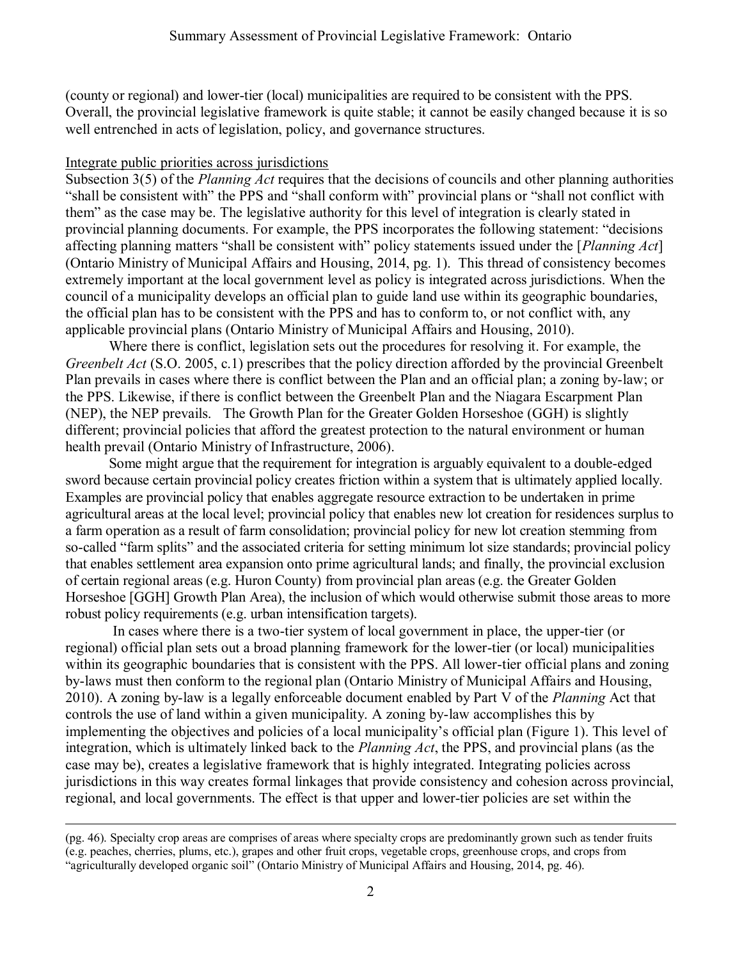(county or regional) and lower-tier (local) municipalities are required to be consistent with the PPS. Overall, the provincial legislative framework is quite stable; it cannot be easily changed because it is so well entrenched in acts of legislation, policy, and governance structures.

#### Integrate public priorities across jurisdictions

 $\overline{a}$ 

Subsection 3(5) of the *Planning Act* requires that the decisions of councils and other planning authorities "shall be consistent with" the PPS and "shall conform with" provincial plans or "shall not conflict with them" as the case may be. The legislative authority for this level of integration is clearly stated in provincial planning documents. For example, the PPS incorporates the following statement: "decisions affecting planning matters "shall be consistent with" policy statements issued under the [*Planning Act*] (Ontario Ministry of Municipal Affairs and Housing, 2014, pg. 1). This thread of consistency becomes extremely important at the local government level as policy is integrated across jurisdictions. When the council of a municipality develops an official plan to guide land use within its geographic boundaries, the official plan has to be consistent with the PPS and has to conform to, or not conflict with, any applicable provincial plans (Ontario Ministry of Municipal Affairs and Housing, 2010).

Where there is conflict, legislation sets out the procedures for resolving it. For example, the *Greenbelt Act* (S.O. 2005, c.1) prescribes that the policy direction afforded by the provincial Greenbelt Plan prevails in cases where there is conflict between the Plan and an official plan; a zoning by-law; or the PPS. Likewise, if there is conflict between the Greenbelt Plan and the Niagara Escarpment Plan (NEP), the NEP prevails. The Growth Plan for the Greater Golden Horseshoe (GGH) is slightly different; provincial policies that afford the greatest protection to the natural environment or human health prevail (Ontario Ministry of Infrastructure, 2006).

Some might argue that the requirement for integration is arguably equivalent to a double-edged sword because certain provincial policy creates friction within a system that is ultimately applied locally. Examples are provincial policy that enables aggregate resource extraction to be undertaken in prime agricultural areas at the local level; provincial policy that enables new lot creation for residences surplus to a farm operation as a result of farm consolidation; provincial policy for new lot creation stemming from so-called "farm splits" and the associated criteria for setting minimum lot size standards; provincial policy that enables settlement area expansion onto prime agricultural lands; and finally, the provincial exclusion of certain regional areas (e.g. Huron County) from provincial plan areas (e.g. the Greater Golden Horseshoe [GGH] Growth Plan Area), the inclusion of which would otherwise submit those areas to more robust policy requirements (e.g. urban intensification targets).

In cases where there is a two-tier system of local government in place, the upper-tier (or regional) official plan sets out a broad planning framework for the lower-tier (or local) municipalities within its geographic boundaries that is consistent with the PPS. All lower-tier official plans and zoning by-laws must then conform to the regional plan (Ontario Ministry of Municipal Affairs and Housing, 2010). A zoning by-law is a legally enforceable document enabled by Part V of the *Planning* Act that controls the use of land within a given municipality. A zoning by-law accomplishes this by implementing the objectives and policies of a local municipality's official plan (Figure 1). This level of integration, which is ultimately linked back to the *Planning Act*, the PPS, and provincial plans (as the case may be), creates a legislative framework that is highly integrated. Integrating policies across jurisdictions in this way creates formal linkages that provide consistency and cohesion across provincial, regional, and local governments. The effect is that upper and lower-tier policies are set within the

<sup>(</sup>pg. 46). Specialty crop areas are comprises of areas where specialty crops are predominantly grown such as tender fruits (e.g. peaches, cherries, plums, etc.), grapes and other fruit crops, vegetable crops, greenhouse crops, and crops from "agriculturally developed organic soil" (Ontario Ministry of Municipal Affairs and Housing, 2014, pg. 46).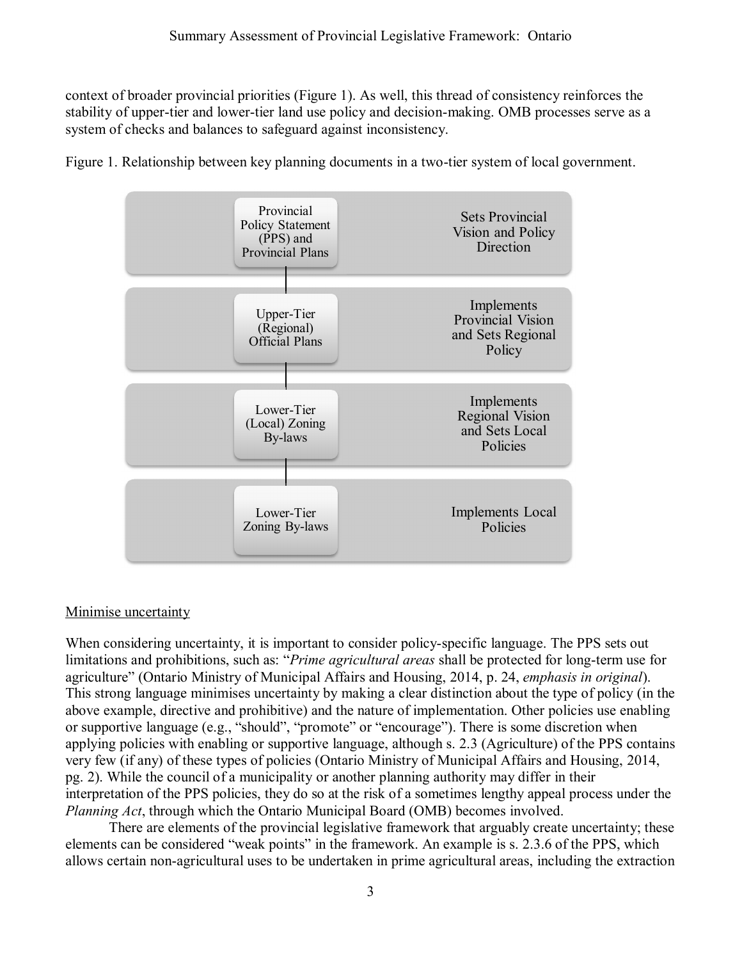context of broader provincial priorities (Figure 1). As well, this thread of consistency reinforces the stability of upper-tier and lower-tier land use policy and decision-making. OMB processes serve as a system of checks and balances to safeguard against inconsistency.



Figure 1. Relationship between key planning documents in a two-tier system of local government.

## Minimise uncertainty

When considering uncertainty, it is important to consider policy-specific language. The PPS sets out limitations and prohibitions, such as: "*Prime agricultural areas* shall be protected for long-term use for agriculture" (Ontario Ministry of Municipal Affairs and Housing, 2014, p. 24, *emphasis in original*). This strong language minimises uncertainty by making a clear distinction about the type of policy (in the above example, directive and prohibitive) and the nature of implementation. Other policies use enabling or supportive language (e.g., "should", "promote" or "encourage"). There is some discretion when applying policies with enabling or supportive language, although s. 2.3 (Agriculture) of the PPS contains very few (if any) of these types of policies (Ontario Ministry of Municipal Affairs and Housing, 2014, pg. 2). While the council of a municipality or another planning authority may differ in their interpretation of the PPS policies, they do so at the risk of a sometimes lengthy appeal process under the *Planning Act*, through which the Ontario Municipal Board (OMB) becomes involved.

There are elements of the provincial legislative framework that arguably create uncertainty; these elements can be considered "weak points" in the framework. An example is s. 2.3.6 of the PPS, which allows certain non-agricultural uses to be undertaken in prime agricultural areas, including the extraction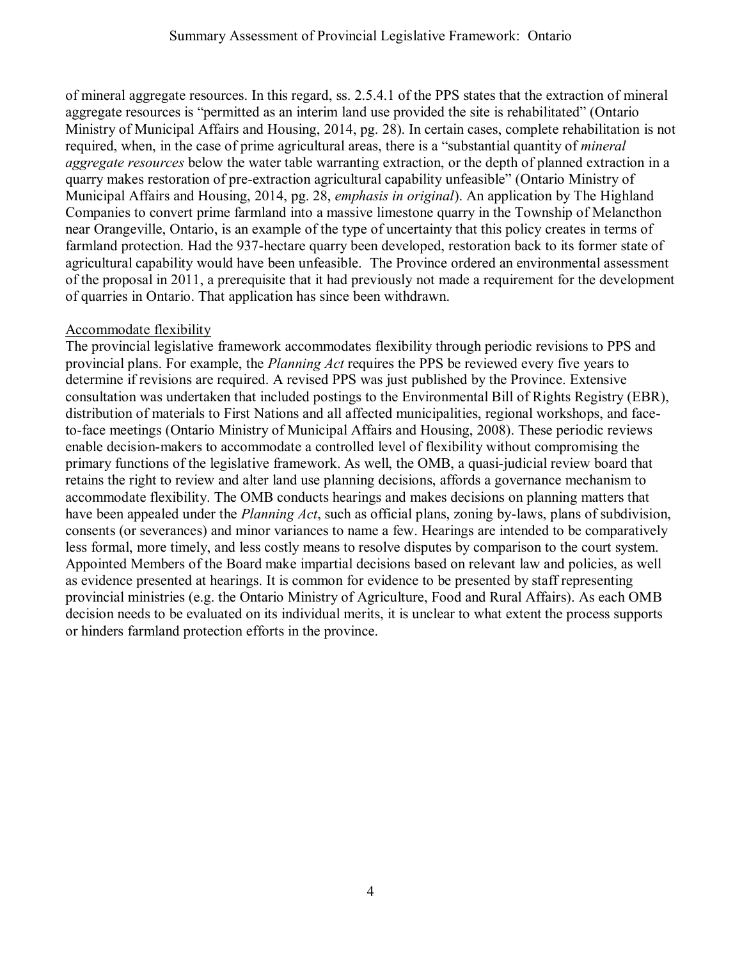of mineral aggregate resources. In this regard, ss. 2.5.4.1 of the PPS states that the extraction of mineral aggregate resources is "permitted as an interim land use provided the site is rehabilitated" (Ontario Ministry of Municipal Affairs and Housing, 2014, pg. 28). In certain cases, complete rehabilitation is not required, when, in the case of prime agricultural areas, there is a "substantial quantity of *mineral aggregate resources* below the water table warranting extraction, or the depth of planned extraction in a quarry makes restoration of pre-extraction agricultural capability unfeasible" (Ontario Ministry of Municipal Affairs and Housing, 2014, pg. 28, *emphasis in original*). An application by The Highland Companies to convert prime farmland into a massive limestone quarry in the Township of Melancthon near Orangeville, Ontario, is an example of the type of uncertainty that this policy creates in terms of farmland protection. Had the 937-hectare quarry been developed, restoration back to its former state of agricultural capability would have been unfeasible. The Province ordered an environmental assessment of the proposal in 2011, a prerequisite that it had previously not made a requirement for the development of quarries in Ontario. That application has since been withdrawn.

### Accommodate flexibility

The provincial legislative framework accommodates flexibility through periodic revisions to PPS and provincial plans. For example, the *Planning Act* requires the PPS be reviewed every five years to determine if revisions are required. A revised PPS was just published by the Province. Extensive consultation was undertaken that included postings to the Environmental Bill of Rights Registry (EBR), distribution of materials to First Nations and all affected municipalities, regional workshops, and faceto-face meetings (Ontario Ministry of Municipal Affairs and Housing, 2008). These periodic reviews enable decision-makers to accommodate a controlled level of flexibility without compromising the primary functions of the legislative framework. As well, the OMB, a quasi-judicial review board that retains the right to review and alter land use planning decisions, affords a governance mechanism to accommodate flexibility. The OMB conducts hearings and makes decisions on planning matters that have been appealed under the *Planning Act*, such as official plans, zoning by-laws, plans of subdivision, consents (or severances) and minor variances to name a few. Hearings are intended to be comparatively less formal, more timely, and less costly means to resolve disputes by comparison to the court system. Appointed Members of the Board make impartial decisions based on relevant law and policies, as well as evidence presented at hearings. It is common for evidence to be presented by staff representing provincial ministries (e.g. the Ontario Ministry of Agriculture, Food and Rural Affairs). As each OMB decision needs to be evaluated on its individual merits, it is unclear to what extent the process supports or hinders farmland protection efforts in the province.